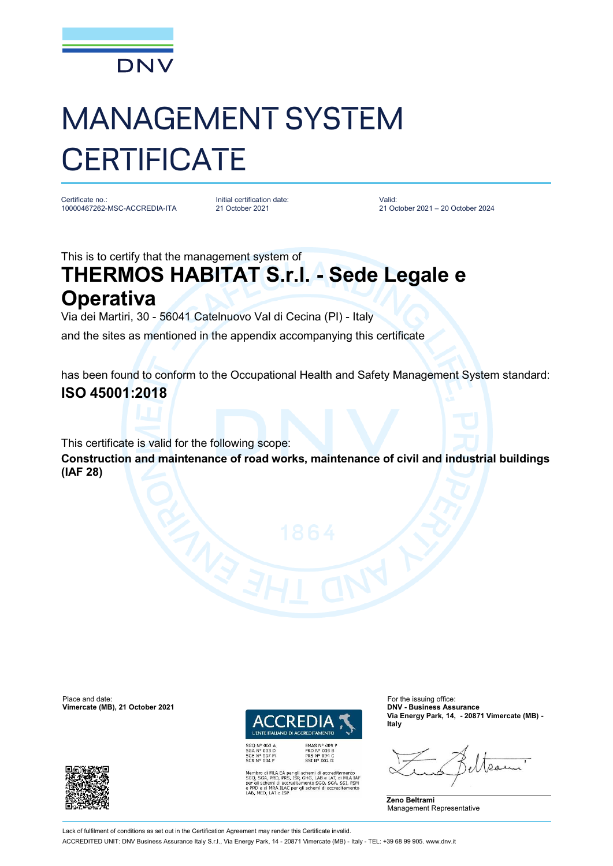

# MANAGEMENT SYSTEM **CERTIFICATE**

Certificate no.: 10000467262-MSC-ACCREDIA-ITA Initial certification date: 21 October 2021

Valid: 21 October 2021 – 20 October 2024

This is to certify that the management system of

## **THERMOS HABITAT S.r.l. - Sede Legale e Operativa**

Via dei Martiri, 30 - 56041 Catelnuovo Val di Cecina (PI) - Italy

and the sites as mentioned in the appendix accompanying this certificate

has been found to conform to the Occupational Health and Safety Management System standard:

### **ISO 45001:2018**

This certificate is valid for the following scope:

**Construction and maintenance of road works, maintenance of civil and industrial buildings (IAF 28)**

Place and date: For the issuing office:<br> **Vimercate (MB), 21 October 2021 CONFINENTIAL CONFINENTIAL CONFINENTIAL CONFINENTIAL CONFINENTIAL CONFINENTIAL Vimercate (MB), 21 October 2021** 



PRD Nº 003 B<br>PRS Nº 094 C<br>SSI Nº 002 G

SGQ N° 003 A<br>SGA N° 003 D<br>SGE N° 007 M<br>SCR N° 004 F

ro di MLA EA per gli schemi di accreditamento<br>SGA, PRD, PRS, ISP, GHG, LAB e LAT, di MLA IAF<br>schemi di accreditamento SGQ, SGA, SSI, FSM ILAC per gli schemi di accre

**Via Energy Park, 14, - 20871 Vimercate (MB) - Italy**





Lack of fulfilment of conditions as set out in the Certification Agreement may render this Certificate invalid.

ACCREDITED UNIT: DNV Business Assurance Italy S.r.l., Via Energy Park, 14 - 20871 Vimercate (MB) - Italy - TEL: +39 68 99 905. [www.dnv.it](http://www.dnv.it)